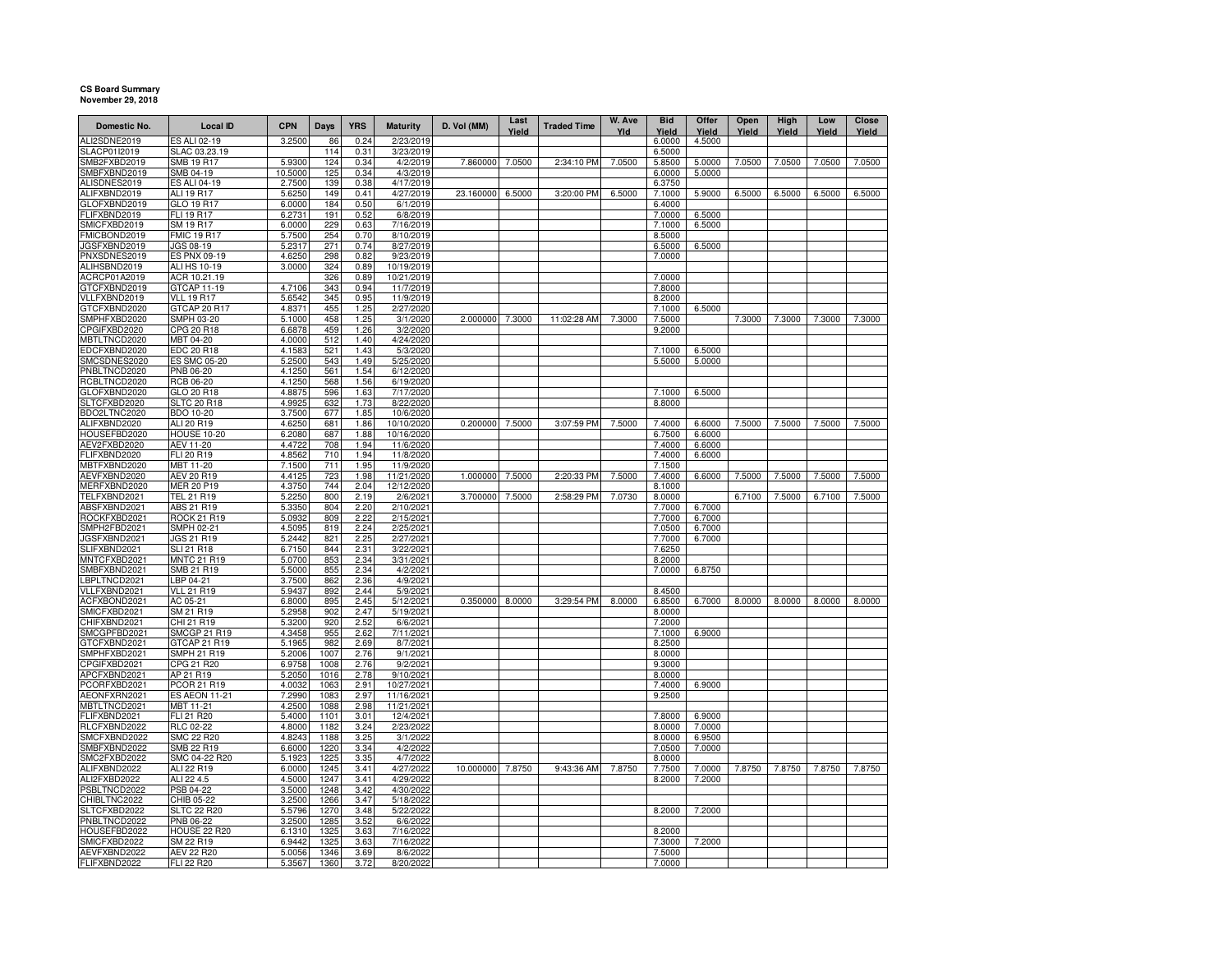## **CS Board SummaryNovember 29, 2018**

| Domestic No.                 | <b>Local ID</b>                 | <b>CPN</b>        | Days         | <b>YRS</b>   | <b>Maturity</b>         | D. Vol (MM) | Last<br>Yield | <b>Traded Time</b> | W. Ave<br>Yld | <b>Bid</b><br>Yield | Offer<br>Yield   | Open<br>Yield | High<br>Yield | Low<br>Yield | Close<br>Yield |
|------------------------------|---------------------------------|-------------------|--------------|--------------|-------------------------|-------------|---------------|--------------------|---------------|---------------------|------------------|---------------|---------------|--------------|----------------|
| ALI2SDNE2019                 | ES ALI 02-19                    | 3.2500            | 86           | 0.24         | 2/23/2019               |             |               |                    |               | 6.0000              | 4.5000           |               |               |              |                |
| SLACP01I2019                 | SLAC 03.23.19                   |                   | 114          | 0.31         | 3/23/2019               |             |               |                    |               | 6.5000              |                  |               |               |              |                |
| SMB2FXBD2019<br>SMBFXBND2019 | <b>SMB 19 R17</b><br>SMB 04-19  | 5.9300<br>10.5000 | 124<br>125   | 0.34<br>0.34 | 4/2/2019<br>4/3/2019    | 7.860000    | 7.0500        | 2:34:10 PM         | 7.0500        | 5.8500<br>6.0000    | 5.0000<br>5.0000 | 7.0500        | 7.0500        | 7.0500       | 7.0500         |
| ALISDNES2019                 | <b>ES ALI 04-19</b>             | 2.7500            | 139          | 0.38         | 4/17/2019               |             |               |                    |               | 6.3750              |                  |               |               |              |                |
| ALIFXBND2019                 | <b>ALI 19 R17</b>               | 5.6250            | 149          | 0.41         | 4/27/2019               | 23.160000   | 6.5000        | 3:20:00 PM         | 6.5000        | 7.1000              | 5.9000           | 6.5000        | 6.5000        | 6.5000       | 6.5000         |
| GLOFXBND2019                 | GLO 19 R17                      | 6.0000            | 184          | 0.50         | 6/1/2019                |             |               |                    |               | 6.4000              |                  |               |               |              |                |
| FLIFXBND2019                 | FLI 19 R17                      | 6.2731            | 191          | 0.52         | 6/8/2019                |             |               |                    |               | 7.0000              | 6.5000           |               |               |              |                |
| SMICFXBD2019                 | SM 19 R17                       | 6.0000            | 229          | 0.63         | 7/16/2019               |             |               |                    |               | 7.1000              | 6.5000           |               |               |              |                |
| FMICBOND2019                 | <b>FMIC 19 R17</b>              | 5.7500            | 254          | 0.70         | 8/10/2019               |             |               |                    |               | 8.5000              |                  |               |               |              |                |
| JGSFXBND2019                 | JGS 08-19                       | 5.2317            | 271          | 0.74         | 8/27/2019               |             |               |                    |               | 6.5000              | 6.5000           |               |               |              |                |
| PNXSDNES2019                 | <b>ES PNX 09-19</b>             | 4.6250            | 298          | 0.82         | 9/23/2019               |             |               |                    |               | 7.0000              |                  |               |               |              |                |
| ALIHSBND2019                 | <b>ALI HS 10-19</b>             | 3.0000            | 324          | 0.89         | 10/19/2019              |             |               |                    |               |                     |                  |               |               |              |                |
| ACRCP01A2019                 | ACR 10.21.19                    |                   | 326          | 0.89         | 10/21/2019              |             |               |                    |               | 7.0000              |                  |               |               |              |                |
| GTCFXBND2019                 | GTCAP 11-19                     | 4.7106            | 343          | 0.94         | 11/7/2019               |             |               |                    |               | 7.8000              |                  |               |               |              |                |
| VLLFXBND2019                 | <b>VLL 19 R17</b>               | 5.6542            | 345          | 0.95         | 11/9/2019               |             |               |                    |               | 8.2000              |                  |               |               |              |                |
| GTCFXBND2020                 | GTCAP 20 R17                    | 4.8371            | 455          | 1.25         | 2/27/2020               |             |               |                    |               | 7.1000              | 6.5000           |               |               |              |                |
| SMPHFXBD2020                 | SMPH 03-20                      | 5.1000            | 458          | 1.25         | 3/1/2020                | 2.000000    | 7.3000        | 11:02:28 AM        | 7.3000        | 7.5000              |                  | 7.3000        | 7.3000        | 7.3000       | 7.3000         |
| CPGIFXBD2020                 | CPG 20 R18                      | 6.6878            | 459          | 1.26         | 3/2/2020                |             |               |                    |               | 9.2000              |                  |               |               |              |                |
| MBTLTNCD2020                 | MBT 04-20                       | 4.0000            | 512          | 1.40         | 4/24/2020               |             |               |                    |               |                     |                  |               |               |              |                |
| EDCFXBND2020                 | EDC 20 R18                      | 4.1583            | 521          | 1.43         | 5/3/2020                |             |               |                    |               | 7.1000              | 6.5000           |               |               |              |                |
| SMCSDNES2020                 | <b>ES SMC 05-20</b>             | 5.2500            | 543          | 1.49         | 5/25/2020               |             |               |                    |               | 5.5000              | 5.0000           |               |               |              |                |
| PNBLTNCD2020                 | PNB 06-20                       | 4.1250            | 561          | 1.54         | 6/12/2020               |             |               |                    |               |                     |                  |               |               |              |                |
| RCBLTNCD2020                 | RCB 06-20                       | 4.1250            | 568          | 1.56         | 6/19/2020               |             |               |                    |               |                     |                  |               |               |              |                |
| GLOFXBND2020                 | GLO 20 R18                      | 4.8875            | 596          | 1.63         | 7/17/2020               |             |               |                    |               | 7.1000              | 6.5000           |               |               |              |                |
| SLTCFXBD2020                 | <b>SLTC 20 R18</b>              | 4.9925            | 632          | 1.73         | 8/22/2020               |             |               |                    |               | 8.8000              |                  |               |               |              |                |
| BDO2LTNC2020                 | <b>BDO 10-20</b>                | 3.7500            | 677          | 1.85         | 10/6/2020               |             |               |                    |               |                     |                  |               |               |              |                |
| ALIFXBND2020                 | ALI 20 R19                      | 4.6250            | 681          | 1.86         | 10/10/2020              | 0.200000    | 7.5000        | 3:07:59 PM         | 7.5000        | 7.4000              | 6.6000           | 7.5000        | 7.5000        | 7.5000       | 7.5000         |
| HOUSEFBD2020<br>AEV2FXBD2020 | <b>HOUSE 10-20</b><br>AEV 11-20 | 6.2080<br>4.4722  | 687<br>708   | 1.88<br>1.94 | 10/16/2020<br>11/6/2020 |             |               |                    |               | 6.7500<br>7.4000    | 6.6000<br>6.6000 |               |               |              |                |
| FLIFXBND2020                 | FLI 20 R19                      | 4.8562            | 710          | 1.94         | 11/8/2020               |             |               |                    |               | 7.4000              | 6.6000           |               |               |              |                |
| MBTFXBND2020                 | MBT 11-20                       | 7.1500            | 711          | 1.95         | 11/9/2020               |             |               |                    |               | 7.1500              |                  |               |               |              |                |
| AEVFXBND2020                 | <b>AEV 20 R19</b>               | 4.4125            | 723          | 1.98         | 11/21/2020              | 1.000000    | 7.5000        | 2:20:33 PM         | 7.5000        | 7.4000              | 6.6000           | 7.5000        | 7.5000        | 7.5000       | 7.5000         |
| MERFXBND2020                 | <b>MER 20 P19</b>               | 4.3750            | 744          | 2.04         | 12/12/2020              |             |               |                    |               | 8.1000              |                  |               |               |              |                |
| TELFXBND2021                 | <b>TEL 21 R19</b>               | 5.2250            | 800          | 2.19         | 2/6/2021                | 3.700000    | 7.5000        | 2:58:29 PM         | 7.0730        | 8.0000              |                  | 6.7100        | 7.5000        | 6.7100       | 7.5000         |
| ABSFXBND2021                 | ABS 21 R19                      | 5.3350            | 804          | 2.20         | 2/10/2021               |             |               |                    |               | 7.7000              | 6.7000           |               |               |              |                |
| ROCKFXBD2021                 | <b>ROCK 21 R19</b>              | 5.0932            | 809          | 2.22         | 2/15/2021               |             |               |                    |               | 7.7000              | 6.7000           |               |               |              |                |
| SMPH2FBD2021                 | SMPH 02-21                      | 4.5095            | 819          | 2.24         | 2/25/2021               |             |               |                    |               | 7.0500              | 6.7000           |               |               |              |                |
| JGSFXBND2021                 | JGS 21 R19                      | 5.2442            | 821          | 2.25         | 2/27/2021               |             |               |                    |               | 7.7000              | 6.7000           |               |               |              |                |
| SLIFXBND2021                 | <b>SLI 21 R18</b>               | 6.7150            | 844          | 2.31         | 3/22/2021               |             |               |                    |               | 7.6250              |                  |               |               |              |                |
| MNTCFXBD2021                 | <b>MNTC 21 R19</b>              | 5.0700            | 853          | 2.34         | 3/31/2021               |             |               |                    |               | 8.2000              |                  |               |               |              |                |
| SMBFXBND2021                 | SMB 21 R19                      | 5.5000            | 855          | 2.34         | 4/2/2021                |             |               |                    |               | 7.0000              | 6.8750           |               |               |              |                |
| LBPLTNCD2021                 | LBP 04-21                       | 3.7500            | 862          | 2.36         | 4/9/2021                |             |               |                    |               |                     |                  |               |               |              |                |
| VLLFXBND2021                 | <b>VLL 21 R19</b>               | 5.9437            | 892          | 2.44         | 5/9/2021                |             |               |                    |               | 8.4500              |                  |               |               |              |                |
| ACFXBOND2021                 | AC 05-21                        | 6.8000            | 895          | 2.45         | 5/12/2021               | 0.350000    | 8.0000        | 3:29:54 PM         | 8.0000        | 6.8500              | 6.7000           | 8.0000        | 8.0000        | 8.0000       | 8.0000         |
| SMICFXBD2021                 | SM 21 R19                       | 5.2958            | 902          | 2.47         | 5/19/2021               |             |               |                    |               | 8.0000              |                  |               |               |              |                |
| CHIFXBND2021                 | CHI 21 R19                      | 5.3200            | 920          | 2.52         | 6/6/2021                |             |               |                    |               | 7.2000              |                  |               |               |              |                |
| SMCGPFBD2021                 | <b>SMCGP 21 R19</b>             | 4.3458            | 955          | 2.62         | 7/11/2021               |             |               |                    |               | 7.1000              | 6.9000           |               |               |              |                |
| GTCFXBND2021                 | GTCAP 21 R19                    | 5.1965            | 982          | 2.69         | 8/7/2021                |             |               |                    |               | 8.2500              |                  |               |               |              |                |
| SMPHFXBD2021<br>CPGIFXBD2021 | SMPH 21 R19<br>CPG 21 R20       | 5.2006            | 1007<br>1008 | 2.76<br>2.76 | 9/1/2021<br>9/2/202     |             |               |                    |               | 8.0000<br>9.3000    |                  |               |               |              |                |
| APCFXBND2021                 | AP 21 R19                       | 6.9758<br>5.2050  | 1016         | 2.78         | 9/10/2021               |             |               |                    |               | 8.0000              |                  |               |               |              |                |
| PCORFXBD2021                 | PCOR 21 R19                     | 4.0032            | 1063         | 2.91         | 10/27/2021              |             |               |                    |               | 7.4000              | 6.9000           |               |               |              |                |
| AEONFXRN2021                 | ES AEON 11-21                   | 7.2990            | 1083         | 2.97         | 11/16/2021              |             |               |                    |               | 9.2500              |                  |               |               |              |                |
| MBTLTNCD2021                 | MBT 11-21                       | 4.2500            | 1088         | 2.98         | 11/21/2021              |             |               |                    |               |                     |                  |               |               |              |                |
| FLIFXBND2021                 | FLI 21 R20                      | 5.4000            | 1101         | 3.01         | 12/4/2021               |             |               |                    |               | 7.8000              | 6.9000           |               |               |              |                |
| RLCFXBND2022                 | RLC 02-22                       | 4.8000            | 1182         | 3.24         | 2/23/2022               |             |               |                    |               | 8.0000              | 7.0000           |               |               |              |                |
| SMCFXBND2022                 | <b>SMC 22 R20</b>               | 4.8243            | 1188         | 3.25         | 3/1/2022                |             |               |                    |               | 8.0000              | 6.9500           |               |               |              |                |
| SMBFXBND2022                 | SMB 22 R19                      | 6.6000            | 1220         | 3.34         | 4/2/2022                |             |               |                    |               | 7.0500              | 7.0000           |               |               |              |                |
| SMC2FXBD2022                 | SMC 04-22 R20                   | 5.1923            | 1225         | 3.35         | 4/7/2022                |             |               |                    |               | 8.0000              |                  |               |               |              |                |
| ALIFXBND2022                 | ALI 22 R19                      | 6.0000            | 1245         | 3.41         | 4/27/2022               | 10.000000   | 7.8750        | 9:43:36 AM         | 7.8750        | 7.7500              | 7.0000           | 7.8750        | 7.8750        | 7.8750       | 7.8750         |
| ALI2FXBD2022                 | ALI 22 4.5                      | 4.5000            | 1247         | 3.41         | 4/29/2022               |             |               |                    |               | 8.2000              | 7.2000           |               |               |              |                |
| PSBLTNCD2022                 | PSB 04-22                       | 3.5000            | 1248         | 3.42         | 4/30/2022               |             |               |                    |               |                     |                  |               |               |              |                |
| CHIBLTNC2022                 | CHIB 05-22                      | 3.2500            | 1266         | 3.47         | 5/18/2022               |             |               |                    |               |                     |                  |               |               |              |                |
| SLTCFXBD2022                 | <b>SLTC 22 R20</b>              | 5.5796            | 1270         | 3.48         | 5/22/2022               |             |               |                    |               | 8.2000              | 7.2000           |               |               |              |                |
| PNBLTNCD2022                 | PNB 06-22                       | 3.2500            | 1285         | 3.52         | 6/6/2022                |             |               |                    |               |                     |                  |               |               |              |                |
| HOUSEFBD2022                 | HOUSE 22 R20                    | 6.1310            | 1325         | 3.63         | 7/16/2022               |             |               |                    |               | 8.2000              |                  |               |               |              |                |
| SMICFXBD2022                 | SM 22 R19                       | 6.9442            | 1325         | 3.63         | 7/16/2022               |             |               |                    |               | 7.3000              | 7.2000           |               |               |              |                |
| AEVFXBND2022                 | <b>AEV 22 R20</b>               | 5.0056            | 1346         | 3.69         | 8/6/2022                |             |               |                    |               | 7.5000              |                  |               |               |              |                |
| FLIFXBND2022                 | <b>FLI 22 R20</b>               | 5.3567            | 1360         | 3.72         | 8/20/2022               |             |               |                    |               | 7.0000              |                  |               |               |              |                |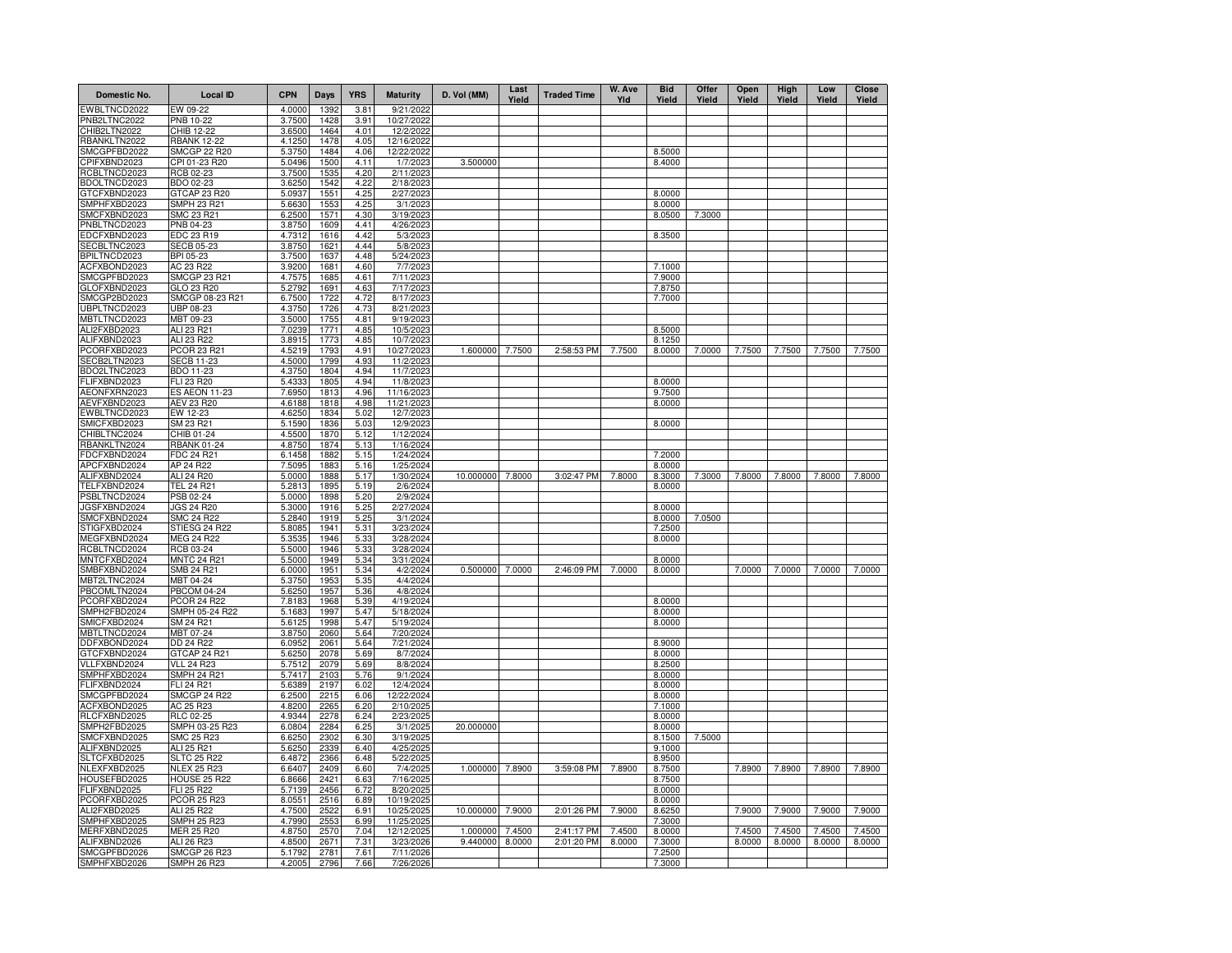| Domestic No.                 | <b>Local ID</b>                  | <b>CPN</b>       | Days         | <b>YRS</b>   | <b>Maturity</b>         | D. Vol (MM)      | Last<br>Yield | <b>Traded Time</b> | W. Ave<br>Yld | <b>Bid</b><br>Yield | Offer<br>Yield | Open<br>Yield | High<br>Yield | Low<br>Yield | <b>Close</b><br>Yield |
|------------------------------|----------------------------------|------------------|--------------|--------------|-------------------------|------------------|---------------|--------------------|---------------|---------------------|----------------|---------------|---------------|--------------|-----------------------|
| <b>EWBLTNCD2022</b>          | EW 09-22                         | 4.0000           | 1392         | 3.81         | 9/21/2022               |                  |               |                    |               |                     |                |               |               |              |                       |
| PNB2LTNC2022                 | <b>PNB 10-22</b>                 | 3.7500           | 1428         | 3.91         | 10/27/202               |                  |               |                    |               |                     |                |               |               |              |                       |
| CHIB2LTN2022<br>RBANKLTN2022 | CHIB 12-22<br><b>RBANK 12-22</b> | 3.6500<br>4.1250 | 1464<br>1478 | 4.01<br>4.05 | 12/2/2022<br>12/16/2022 |                  |               |                    |               |                     |                |               |               |              |                       |
| SMCGPFBD2022                 | SMCGP 22 R20                     | 5.3750           | 1484         | 4.06         | 12/22/202               |                  |               |                    |               | 8.5000              |                |               |               |              |                       |
| CPIFXBND2023                 | CPI 01-23 R20                    | 5.0496           | 1500         | 4.11         | 1/7/202                 | 3.500000         |               |                    |               | 8.4000              |                |               |               |              |                       |
| RCBLTNCD2023                 | RCB 02-23                        | 3.7500           | 1535         | 4.20         | 2/11/2023               |                  |               |                    |               |                     |                |               |               |              |                       |
| BDOLTNCD2023                 | BDO 02-23                        | 3.6250           | 1542         | 4.22         | 2/18/2023               |                  |               |                    |               |                     |                |               |               |              |                       |
| GTCFXBND2023                 | GTCAP 23 R20                     | 5.0937           | 1551         | 4.25         | 2/27/2023               |                  |               |                    |               | 8.0000              |                |               |               |              |                       |
| SMPHFXBD2023                 | SMPH 23 R21                      | 5.6630           | 1553         | 4.25         | 3/1/2023                |                  |               |                    |               | 8.0000              |                |               |               |              |                       |
| SMCFXBND2023                 | SMC 23 R21                       | 6.2500           | 1571         | 4.30         | 3/19/2023               |                  |               |                    |               | 8.0500              | 7.3000         |               |               |              |                       |
| PNBLTNCD2023                 | PNB 04-23                        | 3.8750           | 1609         | 4.41         | 4/26/2023               |                  |               |                    |               |                     |                |               |               |              |                       |
| EDCFXBND2023                 | EDC 23 R19                       | 4.7312           | 1616         | 4.42         | 5/3/2023                |                  |               |                    |               | 8.3500              |                |               |               |              |                       |
| SECBLTNC2023                 | <b>SECB 05-23</b>                | 3.8750           | 1621         | 4.44         | 5/8/2023                |                  |               |                    |               |                     |                |               |               |              |                       |
| BPILTNCD2023                 | BPI 05-23                        | 3.7500           | 1637         | 4.48         | 5/24/2023               |                  |               |                    |               |                     |                |               |               |              |                       |
| ACFXBOND2023<br>SMCGPFBD2023 | AC 23 R22<br><b>SMCGP 23 R21</b> | 3.9200<br>4.7575 | 1681<br>1685 | 4.60<br>4.61 | 7/7/2023<br>7/11/2023   |                  |               |                    |               | 7.1000<br>7.9000    |                |               |               |              |                       |
| GLOFXBND2023                 | GLO 23 R20                       | 5.2792           | 1691         | 4.63         | 7/17/2023               |                  |               |                    |               | 7.8750              |                |               |               |              |                       |
| SMCGP2BD2023                 | SMCGP 08-23 R21                  | 6.7500           | 1722         | 4.72         | 8/17/2023               |                  |               |                    |               | 7.7000              |                |               |               |              |                       |
| UBPLTNCD2023                 | UBP 08-23                        | 4.3750           | 1726         | 4.73         | 8/21/2023               |                  |               |                    |               |                     |                |               |               |              |                       |
| MBTLTNCD2023                 | MBT 09-23                        | 3.5000           | 1755         | 4.81         | 9/19/2023               |                  |               |                    |               |                     |                |               |               |              |                       |
| ALI2FXBD2023                 | ALI 23 R21                       | 7.0239           | 1771         | 4.85         | 10/5/2023               |                  |               |                    |               | 8.5000              |                |               |               |              |                       |
| ALIFXBND2023                 | ALI 23 R22                       | 3.8915           | 1773         | 4.85         | 10/7/2023               |                  |               |                    |               | 8.1250              |                |               |               |              |                       |
| PCORFXBD2023                 | PCOR 23 R21                      | 4.5219           | 1793         | 4.91         | 10/27/2023              | 1.600000         | 7.7500        | 2:58:53 PM         | 7.7500        | 8.0000              | 7.0000         | 7.7500        | 7.7500        | 7.7500       | 7.7500                |
| SECB2LTN2023                 | <b>SECB 11-23</b>                | 4.5000           | 1799         | 4.93         | 11/2/2023               |                  |               |                    |               |                     |                |               |               |              |                       |
| BDO2LTNC2023                 | BDO 11-23                        | 4.3750           | 1804         | 4.94         | 11/7/2023               |                  |               |                    |               |                     |                |               |               |              |                       |
| FLIFXBND2023                 | FLI 23 R20                       | 5.4333           | 1805         | 4.94         | 11/8/2023               |                  |               |                    |               | 8.0000              |                |               |               |              |                       |
| AEONFXRN2023                 | <b>ES AEON 11-23</b>             | 7.6950           | 1813         | 4.96         | 11/16/2023              |                  |               |                    |               | 9.7500              |                |               |               |              |                       |
| AEVFXBND2023                 | AEV 23 R20                       | 4.6188           | 1818         | 4.98         | 11/21/2023              |                  |               |                    |               | 8.0000              |                |               |               |              |                       |
| EWBLTNCD2023                 | EW 12-23                         | 4.6250           | 1834         | 5.02         | 12/7/2023               |                  |               |                    |               |                     |                |               |               |              |                       |
| SMICFXBD2023                 | SM 23 R21<br>CHIB 01-24          | 5.1590<br>4.5500 | 1836<br>1870 | 5.03<br>5.12 | 12/9/202<br>1/12/2024   |                  |               |                    |               | 8.0000              |                |               |               |              |                       |
| CHIBLTNC2024<br>RBANKLTN2024 | <b>RBANK 01-24</b>               | 4.8750           | 1874         | 5.13         | 1/16/2024               |                  |               |                    |               |                     |                |               |               |              |                       |
| FDCFXBND2024                 | FDC 24 R21                       | 6.1458           | 1882         | 5.15         | 1/24/2024               |                  |               |                    |               | 7.2000              |                |               |               |              |                       |
| APCFXBND2024                 | AP 24 R22                        | 7.5095           | 1883         | 5.16         | 1/25/2024               |                  |               |                    |               | 8.0000              |                |               |               |              |                       |
| ALIFXBND2024                 | ALI 24 R20                       | 5.0000           | 1888         | 5.17         | 1/30/2024               | 10.000000 7.8000 |               | 3:02:47 PM         | 7.8000        | 8.3000              | 7.3000         | 7.8000        | 7.8000        | 7.8000       | 7.8000                |
| TELFXBND2024                 | <b>TEL 24 R21</b>                | 5.2813           | 1895         | 5.19         | 2/6/2024                |                  |               |                    |               | 8.0000              |                |               |               |              |                       |
| PSBLTNCD2024                 | PSB 02-24                        | 5.0000           | 1898         | 5.20         | 2/9/2024                |                  |               |                    |               |                     |                |               |               |              |                       |
| JGSFXBND2024                 | <b>JGS 24 R20</b>                | 5.3000           | 1916         | 5.25         | 2/27/2024               |                  |               |                    |               | 8.0000              |                |               |               |              |                       |
| SMCFXBND2024                 | <b>SMC 24 R22</b>                | 5.2840           | 1919         | 5.25         | 3/1/2024                |                  |               |                    |               | 8.0000              | 7.0500         |               |               |              |                       |
| STIGFXBD2024                 | STIESG 24 R22                    | 5.8085           | 1941         | 5.31         | 3/23/2024               |                  |               |                    |               | 7.2500              |                |               |               |              |                       |
| MEGFXBND2024                 | <b>MEG 24 R22</b>                | 5.3535           | 1946         | 5.33         | 3/28/2024               |                  |               |                    |               | 8.0000              |                |               |               |              |                       |
| RCBLTNCD2024                 | RCB 03-24                        | 5.5000           | 1946         | 5.33         | 3/28/2024               |                  |               |                    |               |                     |                |               |               |              |                       |
| MNTCFXBD2024                 | MNTC 24 R21                      | 5.5000           | 1949         | 5.34         | 3/31/2024               |                  |               |                    |               | 8.0000              |                |               |               |              |                       |
| SMBFXBND2024<br>MBT2LTNC2024 | SMB 24 R21<br>MBT 04-24          | 6.0000<br>5.3750 | 1951<br>1953 | 5.34<br>5.35 | 4/2/2024<br>4/4/2024    | 0.500000 7.0000  |               | 2:46:09 PM         | 7.0000        | 8.0000              |                | 7.0000        | 7.0000        | 7.0000       | 7.0000                |
| PBCOMLTN2024                 | <b>PBCOM 04-24</b>               | 5.6250           | 1957         | 5.36         | 4/8/2024                |                  |               |                    |               |                     |                |               |               |              |                       |
| PCORFXBD2024                 | <b>PCOR 24 R22</b>               | 7.8183           | 1968         | 5.39         | 4/19/2024               |                  |               |                    |               | 8.0000              |                |               |               |              |                       |
| SMPH2FBD2024                 | SMPH 05-24 R22                   | 5.1683           | 1997         | 5.47         | 5/18/2024               |                  |               |                    |               | 8.0000              |                |               |               |              |                       |
| SMICFXBD2024                 | SM 24 R21                        | 5.6125           | 1998         | 5.47         | 5/19/2024               |                  |               |                    |               | 8.0000              |                |               |               |              |                       |
| MBTLTNCD2024                 | MBT 07-24                        | 3.8750           | 2060         | 5.64         | 7/20/2024               |                  |               |                    |               |                     |                |               |               |              |                       |
| DDFXBOND2024                 | DD 24 R22                        | 6.0952           | 2061         | 5.64         | 7/21/2024               |                  |               |                    |               | 8.9000              |                |               |               |              |                       |
| GTCFXBND2024                 | GTCAP 24 R21                     | 5.6250           | 2078         | 5.69         | 8/7/2024                |                  |               |                    |               | 8.0000              |                |               |               |              |                       |
| VLLFXBND2024                 | <b>VLL 24 R23</b>                | 5.7512           | 2079         | 5.69         | 8/8/2024                |                  |               |                    |               | 8.2500              |                |               |               |              |                       |
| SMPHFXBD2024                 | <b>SMPH 24 R21</b>               | 5.7417           | 2103         | 5.76         | 9/1/2024                |                  |               |                    |               | 8.0000              |                |               |               |              |                       |
| FLIFXBND2024                 | FLI 24 R21                       | 5.6389           | 2197         | 6.02         | 12/4/2024               |                  |               |                    |               | 8.0000              |                |               |               |              |                       |
| SMCGPFBD2024                 | <b>SMCGP 24 R22</b>              | 6.2500           | 2215<br>2265 | 6.06         | 12/22/2024              |                  |               |                    |               | 8.0000              |                |               |               |              |                       |
| ACFXBOND2025<br>RLCFXBND2025 | AC 25 R23<br><b>RLC 02-25</b>    | 4.8200<br>4.9344 | 2278         | 6.20<br>6.24 | 2/10/202<br>2/23/202    |                  |               |                    |               | 7.1000<br>8.0000    |                |               |               |              |                       |
| SMPH2FBD2025                 | SMPH 03-25 R23                   | 6.0804           | 2284         | 6.25         | 3/1/2025                | 20.000000        |               |                    |               | 8.0000              |                |               |               |              |                       |
| SMCFXBND2025                 | <b>SMC 25 R23</b>                | 6.6250           | 2302         | 6.30         | 3/19/2025               |                  |               |                    |               | 8.1500              | 7.5000         |               |               |              |                       |
| ALIFXBND2025                 | ALI 25 R21                       | 5.6250           | 2339         | 6.40         | 4/25/202                |                  |               |                    |               | 9.1000              |                |               |               |              |                       |
| SLTCFXBD2025                 | <b>SLTC 25 R22</b>               | 6.4872           | 2366         | 6.48         | 5/22/202                |                  |               |                    |               | 8.9500              |                |               |               |              |                       |
| NLEXFXBD2025                 | <b>NLEX 25 R23</b>               | 6.640            | 2409         | 6.60         | 7/4/202                 | 1.000000         | 7.8900        | 3:59:08 PM         | 7.8900        | 8.7500              |                | 7.8900        | 7.8900        | 7.8900       | 7.8900                |
| HOUSEFBD2025                 | <b>HOUSE 25 R22</b>              | 6.8666           | 2421         | 6.63         | 7/16/202                |                  |               |                    |               | 8.7500              |                |               |               |              |                       |
| FLIFXBND2025                 | <b>FLI 25 R22</b>                | 5.7139           | 2456         | 6.72         | 8/20/202                |                  |               |                    |               | 8.0000              |                |               |               |              |                       |
| PCORFXBD2025                 | <b>PCOR 25 R23</b>               | 8.055            | 2516         | 6.89         | 10/19/202               |                  |               |                    |               | 8.0000              |                |               |               |              |                       |
| ALI2FXBD2025                 | ALI 25 R22                       | 4.7500           | 2522         | 6.91         | 10/25/2025              | 10.000000        | 7.9000        | 2:01:26 PM         | 7.9000        | 8.6250              |                | 7.9000        | 7.9000        | 7.9000       | 7.9000                |
| SMPHFXBD2025                 | <b>SMPH 25 R23</b>               | 4.7990           | 2553         | 6.99         | 11/25/2025              |                  |               |                    |               | 7.3000              |                |               |               |              |                       |
| MERFXBND2025                 | <b>MER 25 R20</b>                | 4.8750           | 2570         | 7.04         | 12/12/2025              | 1.000000         | 7.4500        | 2:41:17 PM         | 7.4500        | 8.0000              |                | 7.4500        | 7.4500        | 7.4500       | 7.4500                |
| ALIFXBND2026                 | ALI 26 R23                       | 4.8500           | 2671         | 7.31         | 3/23/2026               | 9.440000 8.0000  |               | 2:01:20 PM         | 8.0000        | 7.3000              |                | 8.0000        | 8.0000        | 8.0000       | 8.0000                |
| SMCGPFBD2026                 | SMCGP 26 R23                     | 5.1792           | 2781         | 7.61         | 7/11/2026               |                  |               |                    |               | 7.2500              |                |               |               |              |                       |
| SMPHFXBD2026                 | <b>SMPH 26 R23</b>               | 4.2005           | 2796         | 7.66         | 7/26/2026               |                  |               |                    |               | 7.3000              |                |               |               |              |                       |